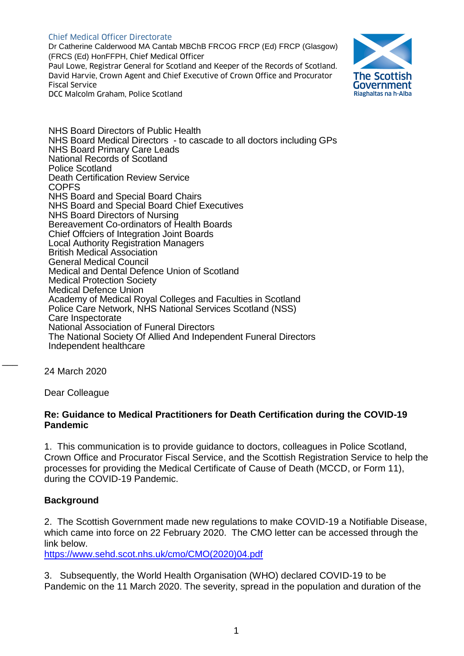### Chief Medical Officer Directorate

Dr Catherine Calderwood MA Cantab MBChB FRCOG FRCP (Ed) FRCP (Glasgow) (FRCS (Ed) HonFFPH, Chief Medical Officer Paul Lowe, Registrar General for Scotland and Keeper of the Records of Scotland. David Harvie, Crown Agent and Chief Executive of Crown Office and Procurator Fiscal Service DCC Malcolm Graham, Police Scotland



NHS Board Directors of Public Health NHS Board Medical Directors - to cascade to all doctors including GPs NHS Board Primary Care Leads National Records of Scotland Police Scotland Death Certification Review Service **COPFS** NHS Board and Special Board Chairs NHS Board and Special Board Chief Executives NHS Board Directors of Nursing Bereavement Co-ordinators of Health Boards Chief Offciers of Integration Joint Boards Local Authority Registration Managers British Medical Association General Medical Council Medical and Dental Defence Union of Scotland Medical Protection Society Medical Defence Union Academy of Medical Royal Colleges and Faculties in Scotland Police Care Network, NHS National Services Scotland (NSS) Care Inspectorate National Association of Funeral Directors The National Society Of Allied And Independent Funeral Directors Independent healthcare

24 March 2020

 $\overline{\phantom{a}}$ 

Dear Colleague

### **Re: Guidance to Medical Practitioners for Death Certification during the COVID-19 Pandemic**

1. This communication is to provide guidance to doctors, colleagues in Police Scotland, Crown Office and Procurator Fiscal Service, and the Scottish Registration Service to help the processes for providing the Medical Certificate of Cause of Death (MCCD, or Form 11), during the COVID-19 Pandemic.

### **Background**

2. The Scottish Government made new regulations to make COVID-19 a Notifiable Disease, which came into force on 22 February 2020. The CMO letter can be accessed through the link below.

[https://www.sehd.scot.nhs.uk/cmo/CMO\(2020\)04.pdf](https://www.sehd.scot.nhs.uk/cmo/CMO(2020)04.pdf)

3. Subsequently, the World Health Organisation (WHO) declared COVID-19 to be Pandemic on the 11 March 2020. The severity, spread in the population and duration of the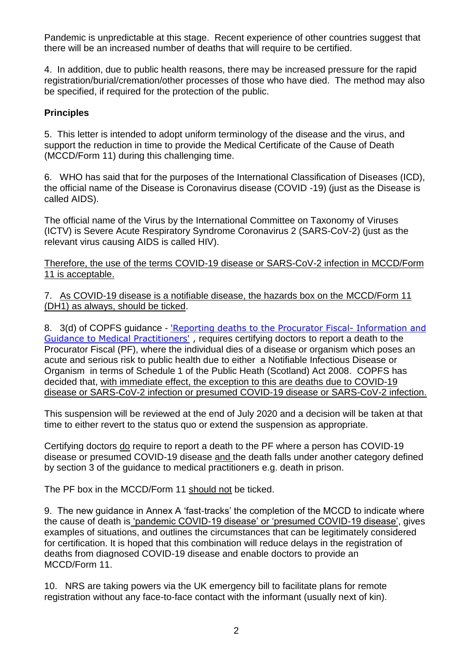Pandemic is unpredictable at this stage. Recent experience of other countries suggest that there will be an increased number of deaths that will require to be certified.

4. In addition, due to public health reasons, there may be increased pressure for the rapid registration/burial/cremation/other processes of those who have died. The method may also be specified, if required for the protection of the public.

# **Principles**

5. This letter is intended to adopt uniform terminology of the disease and the virus, and support the reduction in time to provide the Medical Certificate of the Cause of Death (MCCD/Form 11) during this challenging time.

6. WHO has said that for the purposes of the International Classification of Diseases (ICD), the official name of the Disease is Coronavirus disease (COVID -19) (just as the Disease is called AIDS).

The official name of the Virus by the International Committee on Taxonomy of Viruses (ICTV) is Severe Acute Respiratory Syndrome Coronavirus 2 (SARS-CoV-2) (just as the relevant virus causing AIDS is called HIV).

Therefore, the use of the terms COVID-19 disease or SARS-CoV-2 infection in MCCD/Form 11 is acceptable.

7. As COVID-19 disease is a notifiable disease, the hazards box on the MCCD/Form 11 (DH1) as always, should be ticked.

8. 3(d) of COPFS guidance - ['Reporting deaths to the Procurator Fiscal-](https://www.copfs.gov.uk/images/Documents/Publications/Reporting%20Deaths%20to%20the%20Procurator%20Fiscal/Reporting%20Deaths%20to%20the%20Procurator%20Fiscal%20-%20Info%20for%20Medical%20Practitioners%20May%2019.pdf) Information and [Guidance to Medical Practitioners'](https://www.copfs.gov.uk/images/Documents/Publications/Reporting%20Deaths%20to%20the%20Procurator%20Fiscal/Reporting%20Deaths%20to%20the%20Procurator%20Fiscal%20-%20Info%20for%20Medical%20Practitioners%20May%2019.pdf) , requires certifying doctors to report a death to the Procurator Fiscal (PF), where the individual dies of a disease or organism which poses an acute and serious risk to public health due to either a Notifiable Infectious Disease or Organism in terms of Schedule 1 of the Public Heath (Scotland) Act 2008. COPFS has decided that, with immediate effect, the exception to this are deaths due to COVID-19 disease or SARS-CoV-2 infection or presumed COVID-19 disease or SARS-CoV-2 infection.

This suspension will be reviewed at the end of July 2020 and a decision will be taken at that time to either revert to the status quo or extend the suspension as appropriate.

Certifying doctors do require to report a death to the PF where a person has COVID-19 disease or presumed COVID-19 disease and the death falls under another category defined by section 3 of the guidance to medical practitioners e.g. death in prison.

The PF box in the MCCD/Form 11 should not be ticked.

9. The new guidance in Annex A 'fast-tracks' the completion of the MCCD to indicate where the cause of death is 'pandemic COVID-19 disease' or 'presumed COVID-19 disease', gives examples of situations, and outlines the circumstances that can be legitimately considered for certification. It is hoped that this combination will reduce delays in the registration of deaths from diagnosed COVID-19 disease and enable doctors to provide an MCCD/Form 11.

10. NRS are taking powers via the UK emergency bill to facilitate plans for remote registration without any face-to-face contact with the informant (usually next of kin).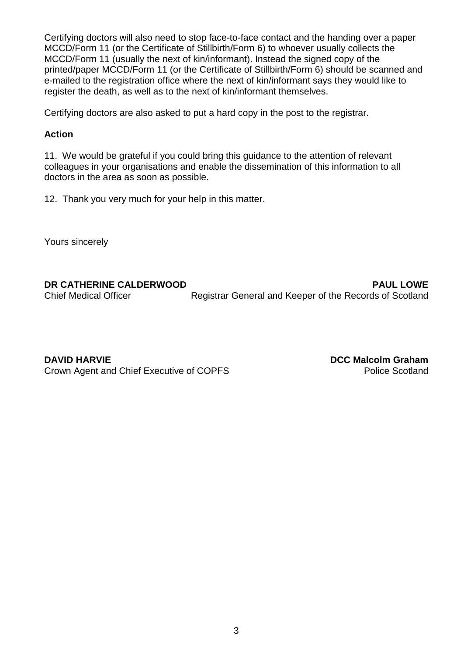Certifying doctors will also need to stop face-to-face contact and the handing over a paper MCCD/Form 11 (or the Certificate of Stillbirth/Form 6) to whoever usually collects the MCCD/Form 11 (usually the next of kin/informant). Instead the signed copy of the printed/paper MCCD/Form 11 (or the Certificate of Stillbirth/Form 6) should be scanned and e-mailed to the registration office where the next of kin/informant says they would like to register the death, as well as to the next of kin/informant themselves.

Certifying doctors are also asked to put a hard copy in the post to the registrar.

## **Action**

11. We would be grateful if you could bring this guidance to the attention of relevant colleagues in your organisations and enable the dissemination of this information to all doctors in the area as soon as possible.

12. Thank you very much for your help in this matter.

Yours sincerely

**DR CATHERINE CALDERWOOD PAUL LOWE** Chief Medical Officer Registrar General and Keeper of the Records of Scotland

**DAVID HARVIE DCC Malcolm Graham** Crown Agent and Chief Executive of COPFS Police Scotland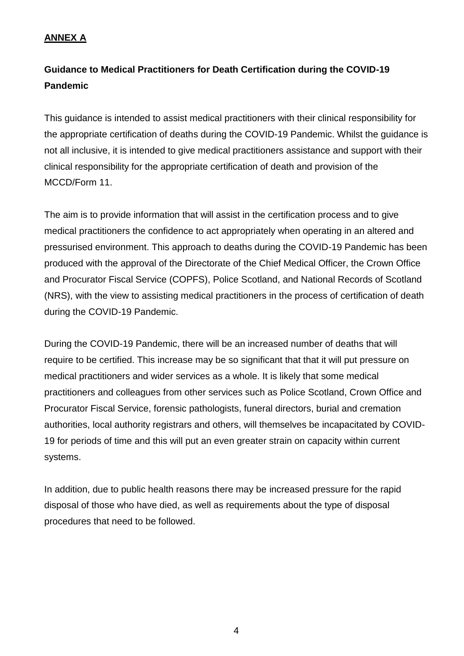# **ANNEX A**

# **Guidance to Medical Practitioners for Death Certification during the COVID-19 Pandemic**

This guidance is intended to assist medical practitioners with their clinical responsibility for the appropriate certification of deaths during the COVID-19 Pandemic. Whilst the guidance is not all inclusive, it is intended to give medical practitioners assistance and support with their clinical responsibility for the appropriate certification of death and provision of the MCCD/Form 11.

The aim is to provide information that will assist in the certification process and to give medical practitioners the confidence to act appropriately when operating in an altered and pressurised environment. This approach to deaths during the COVID-19 Pandemic has been produced with the approval of the Directorate of the Chief Medical Officer, the Crown Office and Procurator Fiscal Service (COPFS), Police Scotland, and National Records of Scotland (NRS), with the view to assisting medical practitioners in the process of certification of death during the COVID-19 Pandemic.

During the COVID-19 Pandemic, there will be an increased number of deaths that will require to be certified. This increase may be so significant that that it will put pressure on medical practitioners and wider services as a whole. It is likely that some medical practitioners and colleagues from other services such as Police Scotland, Crown Office and Procurator Fiscal Service, forensic pathologists, funeral directors, burial and cremation authorities, local authority registrars and others, will themselves be incapacitated by COVID-19 for periods of time and this will put an even greater strain on capacity within current systems.

In addition, due to public health reasons there may be increased pressure for the rapid disposal of those who have died, as well as requirements about the type of disposal procedures that need to be followed.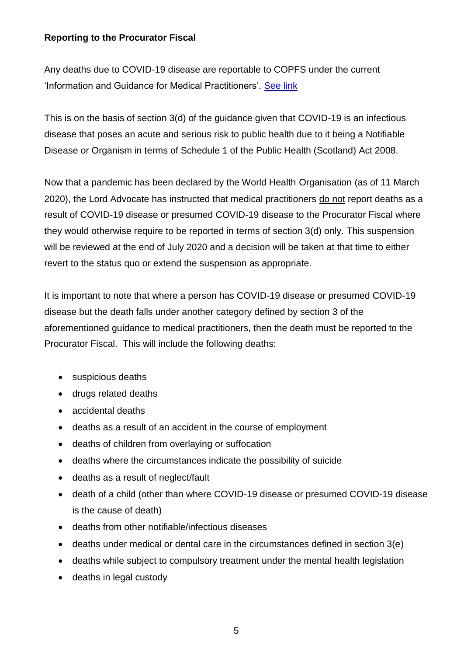# **Reporting to the Procurator Fiscal**

Any deaths due to COVID-19 disease are reportable to COPFS under the current 'Information and Guidance for Medical Practitioners'. [See link](https://www.copfs.gov.uk/investigating-deaths/deaths)

This is on the basis of section 3(d) of the guidance given that COVID-19 is an infectious disease that poses an acute and serious risk to public health due to it being a Notifiable Disease or Organism in terms of Schedule 1 of the Public Health (Scotland) Act 2008.

Now that a pandemic has been declared by the World Health Organisation (as of 11 March 2020), the Lord Advocate has instructed that medical practitioners do not report deaths as a result of COVID-19 disease or presumed COVID-19 disease to the Procurator Fiscal where they would otherwise require to be reported in terms of section 3(d) only. This suspension will be reviewed at the end of July 2020 and a decision will be taken at that time to either revert to the status quo or extend the suspension as appropriate.

It is important to note that where a person has COVID-19 disease or presumed COVID-19 disease but the death falls under another category defined by section 3 of the aforementioned guidance to medical practitioners, then the death must be reported to the Procurator Fiscal. This will include the following deaths:

- suspicious deaths
- drugs related deaths
- accidental deaths
- deaths as a result of an accident in the course of employment
- deaths of children from overlaying or suffocation
- deaths where the circumstances indicate the possibility of suicide
- deaths as a result of neglect/fault
- death of a child (other than where COVID-19 disease or presumed COVID-19 disease is the cause of death)
- deaths from other notifiable/infectious diseases
- deaths under medical or dental care in the circumstances defined in section 3(e)
- deaths while subject to compulsory treatment under the mental health legislation
- deaths in legal custody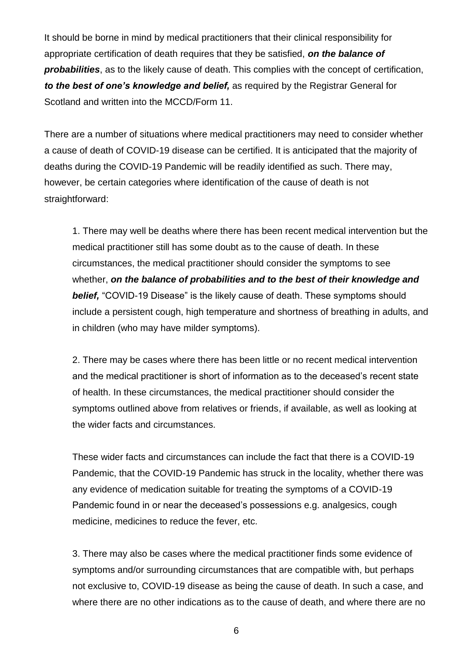It should be borne in mind by medical practitioners that their clinical responsibility for appropriate certification of death requires that they be satisfied, *on the balance of probabilities*, as to the likely cause of death. This complies with the concept of certification, *to the best of one's knowledge and belief,* as required by the Registrar General for Scotland and written into the MCCD/Form 11.

There are a number of situations where medical practitioners may need to consider whether a cause of death of COVID-19 disease can be certified. It is anticipated that the majority of deaths during the COVID-19 Pandemic will be readily identified as such. There may, however, be certain categories where identification of the cause of death is not straightforward:

1. There may well be deaths where there has been recent medical intervention but the medical practitioner still has some doubt as to the cause of death. In these circumstances, the medical practitioner should consider the symptoms to see whether, *on the balance of probabilities and to the best of their knowledge and belief,* "COVID-19 Disease" is the likely cause of death. These symptoms should include a persistent cough, high temperature and shortness of breathing in adults, and in children (who may have milder symptoms).

2. There may be cases where there has been little or no recent medical intervention and the medical practitioner is short of information as to the deceased's recent state of health. In these circumstances, the medical practitioner should consider the symptoms outlined above from relatives or friends, if available, as well as looking at the wider facts and circumstances.

These wider facts and circumstances can include the fact that there is a COVID-19 Pandemic, that the COVID-19 Pandemic has struck in the locality, whether there was any evidence of medication suitable for treating the symptoms of a COVID-19 Pandemic found in or near the deceased's possessions e.g. analgesics, cough medicine, medicines to reduce the fever, etc.

3. There may also be cases where the medical practitioner finds some evidence of symptoms and/or surrounding circumstances that are compatible with, but perhaps not exclusive to, COVID-19 disease as being the cause of death. In such a case, and where there are no other indications as to the cause of death, and where there are no

6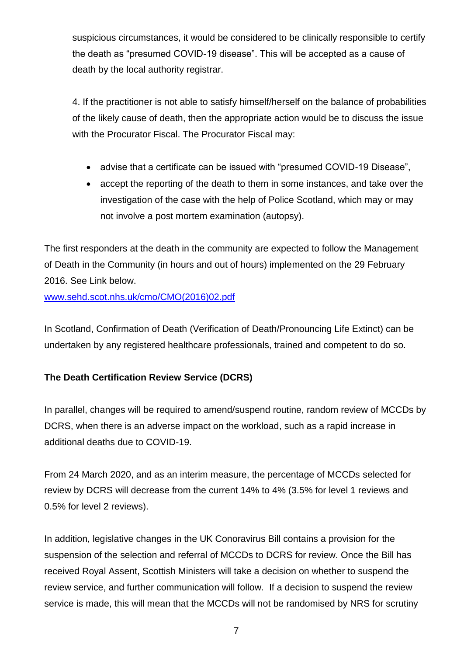suspicious circumstances, it would be considered to be clinically responsible to certify the death as "presumed COVID-19 disease". This will be accepted as a cause of death by the local authority registrar.

4. If the practitioner is not able to satisfy himself/herself on the balance of probabilities of the likely cause of death, then the appropriate action would be to discuss the issue with the Procurator Fiscal. The Procurator Fiscal may:

- advise that a certificate can be issued with "presumed COVID-19 Disease",
- accept the reporting of the death to them in some instances, and take over the investigation of the case with the help of Police Scotland, which may or may not involve a post mortem examination (autopsy).

The first responders at the death in the community are expected to follow the Management of Death in the Community (in hours and out of hours) implemented on the 29 February 2016. See Link below.

[www.sehd.scot.nhs.uk/cmo/CMO\(2016\)02.pdf](http://www.sehd.scot.nhs.uk/cmo/CMO(2016)02.pdf)

In Scotland, Confirmation of Death (Verification of Death/Pronouncing Life Extinct) can be undertaken by any registered healthcare professionals, trained and competent to do so.

# **The Death Certification Review Service (DCRS)**

In parallel, changes will be required to amend/suspend routine, random review of MCCDs by DCRS, when there is an adverse impact on the workload, such as a rapid increase in additional deaths due to COVID-19.

From 24 March 2020, and as an interim measure, the percentage of MCCDs selected for review by DCRS will decrease from the current 14% to 4% (3.5% for level 1 reviews and 0.5% for level 2 reviews).

In addition, legislative changes in the UK Conoravirus Bill contains a provision for the suspension of the selection and referral of MCCDs to DCRS for review. Once the Bill has received Royal Assent, Scottish Ministers will take a decision on whether to suspend the review service, and further communication will follow. If a decision to suspend the review service is made, this will mean that the MCCDs will not be randomised by NRS for scrutiny